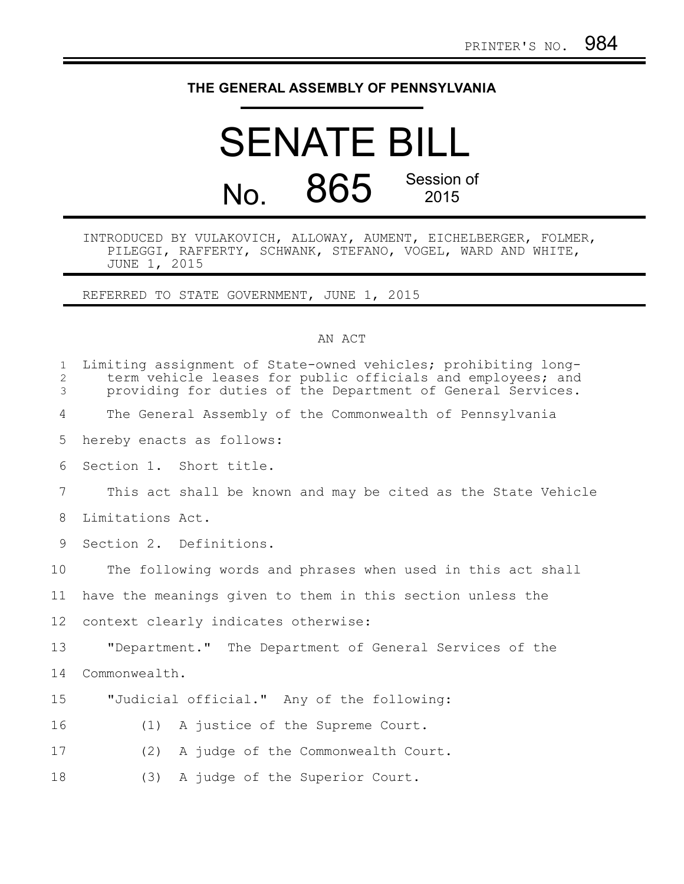## **THE GENERAL ASSEMBLY OF PENNSYLVANIA**

## SENATE BILL No. 865 Session of 2015

INTRODUCED BY VULAKOVICH, ALLOWAY, AUMENT, EICHELBERGER, FOLMER, PILEGGI, RAFFERTY, SCHWANK, STEFANO, VOGEL, WARD AND WHITE, JUNE 1, 2015

REFERRED TO STATE GOVERNMENT, JUNE 1, 2015

## AN ACT

| $\mathbf{1}$<br>2<br>3 | Limiting assignment of State-owned vehicles; prohibiting long-<br>term vehicle leases for public officials and employees; and<br>providing for duties of the Department of General Services. |
|------------------------|----------------------------------------------------------------------------------------------------------------------------------------------------------------------------------------------|
| 4                      | The General Assembly of the Commonwealth of Pennsylvania                                                                                                                                     |
| 5                      | hereby enacts as follows:                                                                                                                                                                    |
| 6                      | Section 1. Short title.                                                                                                                                                                      |
| 7                      | This act shall be known and may be cited as the State Vehicle                                                                                                                                |
| 8                      | Limitations Act.                                                                                                                                                                             |
| 9                      | Section 2. Definitions.                                                                                                                                                                      |
| 10                     | The following words and phrases when used in this act shall                                                                                                                                  |
| 11                     | have the meanings given to them in this section unless the                                                                                                                                   |
| 12                     | context clearly indicates otherwise:                                                                                                                                                         |
| 13                     | "Department." The Department of General Services of the                                                                                                                                      |
| 14                     | Commonwealth.                                                                                                                                                                                |
| 15                     | "Judicial official." Any of the following:                                                                                                                                                   |
| 16                     | A justice of the Supreme Court.<br>(1)                                                                                                                                                       |
| 17                     | (2)<br>A judge of the Commonwealth Court.                                                                                                                                                    |
| 18                     | (3)<br>A judge of the Superior Court.                                                                                                                                                        |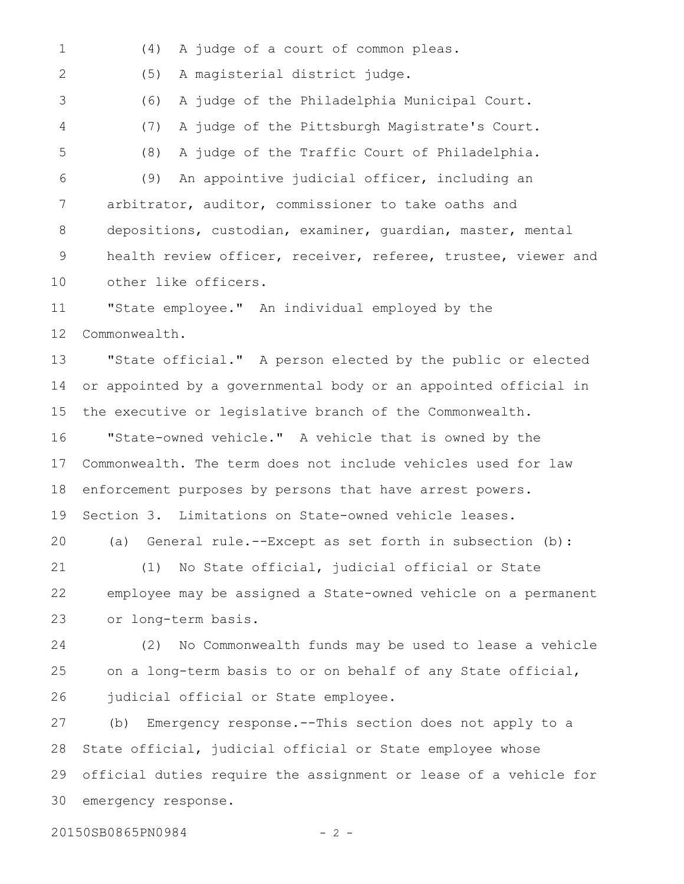(4) A judge of a court of common pleas. (5) A magisterial district judge. (6) A judge of the Philadelphia Municipal Court. (7) A judge of the Pittsburgh Magistrate's Court. (8) A judge of the Traffic Court of Philadelphia. (9) An appointive judicial officer, including an arbitrator, auditor, commissioner to take oaths and depositions, custodian, examiner, guardian, master, mental health review officer, receiver, referee, trustee, viewer and other like officers. "State employee." An individual employed by the Commonwealth. "State official." A person elected by the public or elected or appointed by a governmental body or an appointed official in the executive or legislative branch of the Commonwealth. "State-owned vehicle." A vehicle that is owned by the Commonwealth. The term does not include vehicles used for law enforcement purposes by persons that have arrest powers. Section 3. Limitations on State-owned vehicle leases. (a) General rule.--Except as set forth in subsection (b): (1) No State official, judicial official or State employee may be assigned a State-owned vehicle on a permanent or long-term basis. (2) No Commonwealth funds may be used to lease a vehicle on a long-term basis to or on behalf of any State official, judicial official or State employee. (b) Emergency response.--This section does not apply to a State official, judicial official or State employee whose official duties require the assignment or lease of a vehicle for emergency response. 1 2 3 4 5 6 7 8 9 10 11 12 13 14 15 16 17 18 19 20 21 22 23 24 25 26 27 28 29 30

20150SB0865PN0984 - 2 -